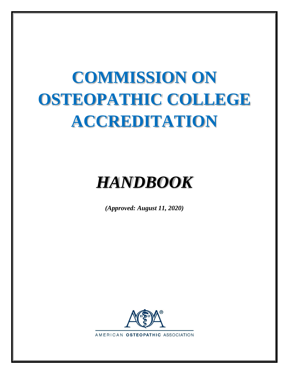# **COMMISSION ON OSTEOPATHIC COLLEGE ACCREDITATION**

# *HANDBOOK*

*(Approved: August 11, 2020)*

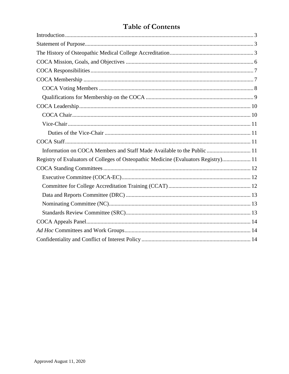## **Table of Contents**

| Information on COCA Members and Staff Made Available to the Public  11              |
|-------------------------------------------------------------------------------------|
| Registry of Evaluators of Colleges of Osteopathic Medicine (Evaluators Registry) 11 |
|                                                                                     |
|                                                                                     |
|                                                                                     |
|                                                                                     |
|                                                                                     |
|                                                                                     |
|                                                                                     |
|                                                                                     |
|                                                                                     |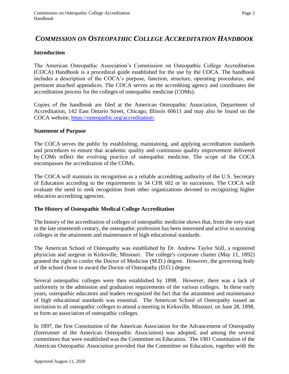### *COMMISSION ON OSTEOPATHIC COLLEGE ACCREDITATION HANDBOOK*

#### <span id="page-2-0"></span>**Introduction**

The American Osteopathic Association's Commission on Osteopathic College Accreditation (COCA) Handbook is a procedural guide established for the use by the COCA. The handbook includes a description of the COCA's purpose, function, structure, operating procedures, and pertinent attached appendices. The COCA serves as the accrediting agency and coordinates the accreditation process for the colleges of osteopathic medicine (COMs).

Copies of the handbook are filed at the American Osteopathic Association, Department of Accreditation, 142 East Ontario Street, Chicago, Illinois 60611 and may also be found on the COCA website, [https://osteopathic.org/accreditation/.](https://osteopathic.org/accreditation/)

#### <span id="page-2-1"></span>**Statement of Purpose**

The COCA serves the public by establishing, maintaining, and applying accreditation standards and procedures to ensure that academic quality and continuous quality improvement delivered by COMs reflect the evolving practice of osteopathic medicine. The scope of the COCA encompasses the accreditation of the COMs.

The COCA will maintain its recognition as a reliable accrediting authority of the U.S. Secretary of Education according to the requirements in 34 CFR 602 or its successors. The COCA will evaluate the need to seek recognition from other organizations devoted to recognizing higher education accrediting agencies.

#### <span id="page-2-2"></span>**The History of Osteopathic Medical College Accreditation**

The history of the accreditation of colleges of osteopathic medicine shows that, from the very start in the late nineteenth century, the osteopathic profession has been interested and active in assisting colleges in the attainment and maintenance of high educational standards.

The American School of Osteopathy was established by Dr. Andrew Taylor Still, a registered physician and surgeon in Kirksville, Missouri. The college's corporate charter (May 11, 1892) granted the right to confer the Doctor of Medicine (M.D.) degree. However, the governing body of the school chose to award the Doctor of Osteopathy (D.O.) degree.

Several osteopathic colleges were then established by 1898. However, there was a lack of uniformity in the admission and graduation requirements of the various colleges. In these early years, osteopathic educators and leaders recognized the fact that the attainment and maintenance of high educational standards was essential. The American School of Osteopathy issued an invitation to all osteopathic colleges to attend a meeting in Kirksville, Missouri, on June 28, 1898, to form an association of osteopathic colleges.

In 1897, the first Constitution of the American Association for the Advancement of Osteopathy (forerunner of the American Osteopathic Association) was adopted, and among the several committees that were established was the Committee on Education. The 1901 Constitution of the American Osteopathic Association provided that the Committee on Education, together with the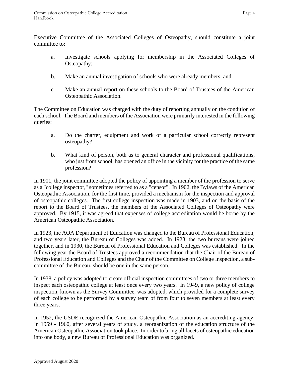Executive Committee of the Associated Colleges of Osteopathy, should constitute a joint committee to:

- a. Investigate schools applying for membership in the Associated Colleges of Osteopathy;
- b. Make an annual investigation of schools who were already members; and
- c. Make an annual report on these schools to the Board of Trustees of the American Osteopathic Association.

The Committee on Education was charged with the duty of reporting annually on the condition of each school. The Board and members of the Association were primarily interested in the following queries:

- a. Do the charter, equipment and work of a particular school correctly represent osteopathy?
- b. What kind of person, both as to general character and professional qualifications, who just from school, has opened an office in the vicinity for the practice of the same profession?

In 1901, the joint committee adopted the policy of appointing a member of the profession to serve as a "college inspector," sometimes referred to as a "censor". In 1902, the Bylaws of the American Osteopathic Association, for the first time, provided a mechanism for the inspection and approval of osteopathic colleges. The first college inspection was made in 1903, and on the basis of the report to the Board of Trustees, the members of the Associated Colleges of Osteopathy were approved. By 1915, it was agreed that expenses of college accreditation would be borne by the American Osteopathic Association.

In 1923, the AOA Department of Education was changed to the Bureau of Professional Education, and two years later, the Bureau of Colleges was added. In 1928, the two bureaus were joined together, and in 1930, the Bureau of Professional Education and Colleges was established. In the following year the Board of Trustees approved a recommendation that the Chair of the Bureau of Professional Education and Colleges and the Chair of the Committee on College Inspection, a subcommittee of the Bureau, should be one in the same person.

In 1938, a policy was adopted to create official inspection committees of two or three members to inspect each osteopathic college at least once every two years. In 1949, a new policy of college inspection, known as the Survey Committee, was adopted, which provided for a complete survey of each college to be performed by a survey team of from four to seven members at least every three years.

In 1952, the USDE recognized the American Osteopathic Association as an accrediting agency. In 1959 - 1960, after several years of study, a reorganization of the education structure of the American Osteopathic Association took place. In order to bring all facets of osteopathic education into one body, a new Bureau of Professional Education was organized.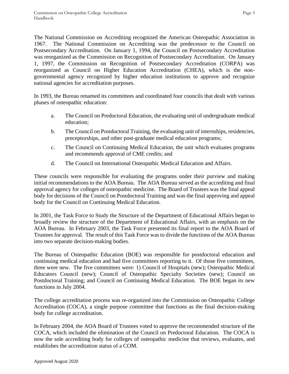The National Commission on Accrediting recognized the American Osteopathic Association in 1967. The National Commission on Accrediting was the predecessor to the Council on Postsecondary Accreditation. On January 1, 1994, the Council on Postsecondary Accreditation was reorganized as the Commission on Recognition of Postsecondary Accreditation. On January 1, 1997, the Commission on Recognition of Postsecondary Accreditation (CORPA) was reorganized as Council on Higher Education Accreditation (CHEA), which is the nongovernmental agency recognized by higher education institutions to approve and recognize national agencies for accreditation purposes.

In 1993, the Bureau renamed its committees and coordinated four councils that dealt with various phases of osteopathic education:

- a. The Council on Predoctoral Education, the evaluating unit of undergraduate medical education;
- b. The Council on Postdoctoral Training, the evaluating unit of internships, residencies, preceptorships, and other post-graduate medical education programs;
- c. The Council on Continuing Medical Education, the unit which evaluates programs and recommends approval of CME credits; and
- d. The Council on International Osteopathic Medical Education and Affairs.

These councils were responsible for evaluating the programs under their purview and making initial recommendations to the AOA Bureau. The AOA Bureau served as the accrediting and final approval agency for colleges of osteopathic medicine. The Board of Trustees was the final appeal body for decisions of the Council on Postdoctoral Training and was the final approving and appeal body for the Council on Continuing Medical Education.

In 2001, the Task Force to Study the Structure of the Department of Educational Affairs began to broadly review the structure of the Department of Educational Affairs, with an emphasis on the AOA Bureau. In February 2003, the Task Force presented its final report to the AOA Board of Trustees for approval. The result of this Task Force was to divide the functions of the AOA Bureau into two separate decision-making bodies.

The Bureau of Osteopathic Education (BOE) was responsible for postdoctoral education and continuing medical education and had five committees reporting to it. Of those five committees, three were new. The five committees were: 1) Council of Hospitals (new); Osteopathic Medical Educators Council (new); Council of Osteopathic Specialty Societies (new); Council on Postdoctoral Training; and Council on Continuing Medical Education. The BOE began its new functions in July 2004.

The college accreditation process was re-organized into the Commission on Osteopathic College Accreditation (COCA), a single purpose committee that functions as the final decision-making body for college accreditation.

In February 2004, the AOA Board of Trustees voted to approve the recommended structure of the COCA, which included the elimination of the Council on Predoctoral Education. The COCA is now the sole accrediting body for colleges of osteopathic medicine that reviews, evaluates, and establishes the accreditation status of a COM.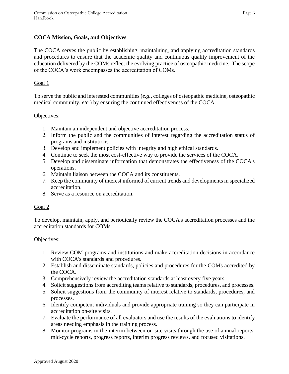#### <span id="page-5-0"></span>**COCA Mission, Goals, and Objectives**

The COCA serves the public by establishing, maintaining, and applying accreditation standards and procedures to ensure that the academic quality and continuous quality improvement of the education delivered by the COMs reflect the evolving practice of osteopathic medicine. The scope of the COCA's work encompasses the accreditation of COMs.

#### Goal 1

To serve the public and interested communities (*e.g.*, colleges of osteopathic medicine, osteopathic medical community, *etc.*) by ensuring the continued effectiveness of the COCA.

#### Objectives:

- 1. Maintain an independent and objective accreditation process.
- 2. Inform the public and the communities of interest regarding the accreditation status of programs and institutions.
- 3. Develop and implement policies with integrity and high ethical standards.
- 4. Continue to seek the most cost-effective way to provide the services of the COCA.
- 5. Develop and disseminate information that demonstrates the effectiveness of the COCA's operations.
- 6. Maintain liaison between the COCA and its constituents.
- 7. Keep the community of interest informed of current trends and developments in specialized accreditation.
- 8. Serve as a resource on accreditation.

#### Goal 2

To develop, maintain, apply, and periodically review the COCA's accreditation processes and the accreditation standards for COMs.

#### Objectives:

- 1. Review COM programs and institutions and make accreditation decisions in accordance with COCA's standards and procedures.
- 2. Establish and disseminate standards, policies and procedures for the COMs accredited by the COCA.
- 3. Comprehensively review the accreditation standards at least every five years.
- 4. Solicit suggestions from accrediting teams relative to standards, procedures, and processes.
- 5. Solicit suggestions from the community of interest relative to standards, procedures, and processes.
- 6. Identify competent individuals and provide appropriate training so they can participate in accreditation on-site visits.
- 7. Evaluate the performance of all evaluators and use the results of the evaluations to identify areas needing emphasis in the training process.
- 8. Monitor programs in the interim between on-site visits through the use of annual reports, mid-cycle reports, progress reports, interim progress reviews, and focused visitations.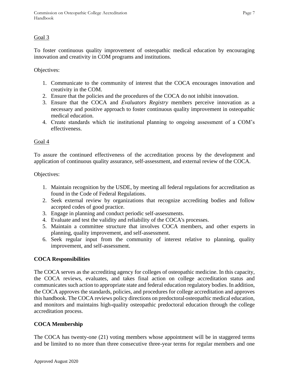#### Goal 3

To foster continuous quality improvement of osteopathic medical education by encouraging innovation and creativity in COM programs and institutions.

Objectives:

- 1. Communicate to the community of interest that the COCA encourages innovation and creativity in the COM.
- 2. Ensure that the policies and the procedures of the COCA do not inhibit innovation.
- 3. Ensure that the COCA and *Evaluators Registry* members perceive innovation as a necessary and positive approach to foster continuous quality improvement in osteopathic medical education.
- 4. Create standards which tie institutional planning to ongoing assessment of a COM's effectiveness.

#### Goal 4

To assure the continued effectiveness of the accreditation process by the development and application of continuous quality assurance, self-assessment, and external review of the COCA.

Objectives:

- 1. Maintain recognition by the USDE, by meeting all federal regulations for accreditation as found in the Code of Federal Regulations.
- 2. Seek external review by organizations that recognize accrediting bodies and follow accepted codes of good practice.
- 3. Engage in planning and conduct periodic self-assessments.
- 4. Evaluate and test the validity and reliability of the COCA's processes.
- 5. Maintain a committee structure that involves COCA members, and other experts in planning, quality improvement, and self-assessment.
- 6. Seek regular input from the community of interest relative to planning, quality improvement, and self-assessment.

#### <span id="page-6-0"></span>**COCA Responsibilities**

The COCA serves as the accrediting agency for colleges of osteopathic medicine. In this capacity, the COCA reviews, evaluates, and takes final action on college accreditation status and communicates such action to appropriate state and federal education regulatory bodies. In addition, the COCA approves the standards, policies, and procedures for college accreditation and approves this handbook. The COCA reviews policy directions on predoctoral osteopathic medical education, and monitors and maintains high-quality osteopathic predoctoral education through the college accreditation process.

#### <span id="page-6-1"></span>**COCA Membership**

The COCA has twenty-one (21) voting members whose appointment will be in staggered terms and be limited to no more than three consecutive three-year terms for regular members and one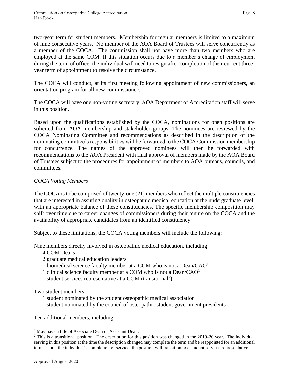two-year term for student members. Membership for regular members is limited to a maximum of nine consecutive years. No member of the AOA Board of Trustees will serve concurrently as a member of the COCA. The commission shall not have more than two members who are employed at the same COM. If this situation occurs due to a member's change of employment during the term of office, the individual will need to resign after completion of their current threeyear term of appointment to resolve the circumstance.

The COCA will conduct, at its first meeting following appointment of new commissioners, an orientation program for all new commissioners.

The COCA will have one non-voting secretary. AOA Department of Accreditation staff will serve in this position.

Based upon the qualifications established by the COCA, nominations for open positions are solicited from AOA membership and stakeholder groups. The nominees are reviewed by the COCA Nominating Committee and recommendations as described in the description of the nominating committee's responsibilities will be forwarded to the COCA Commission membership for concurrence. The names of the approved nominees will then be forwarded with recommendations to the AOA President with final approval of members made by the AOA Board of Trustees subject to the procedures for appointment of members to AOA bureaus, councils, and committees.

#### <span id="page-7-0"></span>*COCA Voting Members*

The COCA is to be comprised of twenty-one (21) members who reflect the multiple constituencies that are interested in assuring quality in osteopathic medical education at the undergraduate level, with an appropriate balance of these constituencies. The specific membership composition may shift over time due to career changes of commissioners during their tenure on the COCA and the availability of appropriate candidates from an identified constituency.

Subject to these limitations, the COCA voting members will include the following:

Nine members directly involved in osteopathic medical education, including:

- 4 COM Deans
- 2 graduate medical education leaders
- 1 biomedical science faculty member at a COM who is not a  $Dean/CAO<sup>1</sup>$
- 1 clinical science faculty member at a COM who is not a Dean/CAO<sup>1</sup>
- 1 student services representative at a COM (transitional<sup>2</sup>)

Two student members

- 1 student nominated by the student osteopathic medical association
- 1 student nominated by the council of osteopathic student government presidents

Ten additional members, including:

<sup>&</sup>lt;sup>1</sup> May have a title of Associate Dean or Assistant Dean.

<sup>&</sup>lt;sup>2</sup> This is a transitional position. The description for this position was changed in the 2019-20 year. The individual serving in this position at the time the description changed may complete the term and be reappointed for an additional term. Upon the individual's completion of service, the position will transition to a student services representative.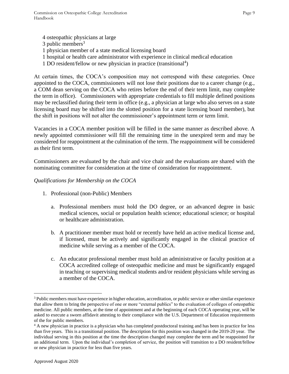4 osteopathic physicians at large  $3$  public members<sup>3</sup> 1 physician member of a state medical licensing board 1 hospital or health care administrator with experience in clinical medical education 1 DO resident/fellow or new physician in practice (transitional<sup>4</sup>)

At certain times, the COCA's composition may not correspond with these categories. Once appointed to the COCA, commissioners will not lose their positions due to a career change (e.g., a COM dean serving on the COCA who retires before the end of their term limit, may complete the term in office). Commissioners with appropriate credentials to fill multiple defined positions may be reclassified during their term in office (e.g., a physician at large who also serves on a state licensing board may be shifted into the slotted position for a state licensing board member), but the shift in positions will not alter the commissioner's appointment term or term limit.

Vacancies in a COCA member position will be filled in the same manner as described above. A newly appointed commissioner will fill the remaining time in the unexpired term and may be considered for reappointment at the culmination of the term. The reappointment will be considered as their first term.

Commissioners are evaluated by the chair and vice chair and the evaluations are shared with the nominating committee for consideration at the time of consideration for reappointment.

#### <span id="page-8-0"></span>*Qualifications for Membership on the COCA*

- 1. Professional (non-Public) Members
	- a. Professional members must hold the DO degree, or an advanced degree in basic medical sciences, social or population health science; educational science; or hospital or healthcare administration.
	- b. A practitioner member must hold or recently have held an active medical license and, if licensed, must be actively and significantly engaged in the clinical practice of medicine while serving as a member of the COCA.
	- c. An educator professional member must hold an administrative or faculty position at a COCA accredited college of osteopathic medicine and must be significantly engaged in teaching or supervising medical students and/or resident physicians while serving as a member of the COCA.

<sup>3</sup> Public members must have experience in higher education, accreditation, or public service or other similar experience that allow them to bring the perspective of one or more "external publics" to the evaluation of colleges of osteopathic medicine. All public members, at the time of appointment and at the beginning of each COCA operating year, will be asked to execute a sworn affidavit attesting to their compliance with the U.S. Department of Education requirements of the for public members.

<sup>&</sup>lt;sup>4</sup> A new physician in practice is a physician who has completed postdoctoral training and has been in practice for less than five years. This is a transitional position. The description for this position was changed in the 2019-20 year. The individual serving in this position at the time the description changed may complete the term and be reappointed for an additional term. Upon the individual's completion of service, the position will transition to a DO resident/fellow or new physician in practice for less than five years.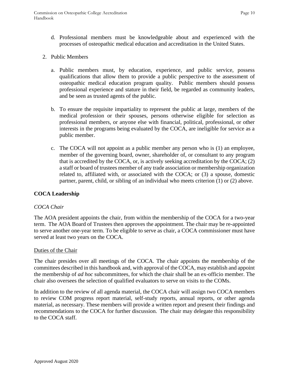d. Professional members must be knowledgeable about and experienced with the processes of osteopathic medical education and accreditation in the United States.

#### 2. Public Members

- a. Public members must, by education, experience, and public service, possess qualifications that allow them to provide a public perspective to the assessment of osteopathic medical education program quality. Public members should possess professional experience and stature in their field, be regarded as community leaders, and be seen as trusted agents of the public.
- b. To ensure the requisite impartiality to represent the public at large, members of the medical profession or their spouses, persons otherwise eligible for selection as professional members, or anyone else with financial, political, professional, or other interests in the programs being evaluated by the COCA, are ineligible for service as a public member.
- c. The COCA will not appoint as a public member any person who is (1) an employee, member of the governing board, owner, shareholder of, or consultant to any program that is accredited by the COCA, or, is actively seeking accreditation by the COCA; (2) a staff or board of trustees member of any trade association or membership organization related to, affiliated with, or associated with the COCA; or (3) a spouse, domestic partner, parent, child, or sibling of an individual who meets criterion (1) or (2) above.

#### <span id="page-9-0"></span>**COCA Leadership**

#### <span id="page-9-1"></span>*COCA Chair*

The AOA president appoints the chair, from within the membership of the COCA for a two-year term. The AOA Board of Trustees then approves the appointment. The chair may be re-appointed to serve another one-year term. To be eligible to serve as chair, a COCA commissioner must have served at least two years on the COCA.

#### Duties of the Chair

The chair presides over all meetings of the COCA. The chair appoints the membership of the committees described in this handbook and, with approval of the COCA, may establish and appoint the membership of *ad hoc* subcommittees, for which the chair shall be an ex-officio member. The chair also oversees the selection of qualified evaluators to serve on visits to the COMs.

In addition to the review of all agenda material, the COCA chair will assign two COCA members to review COM progress report material, self-study reports, annual reports, or other agenda material, as necessary. These members will provide a written report and present their findings and recommendations to the COCA for further discussion. The chair may delegate this responsibility to the COCA staff.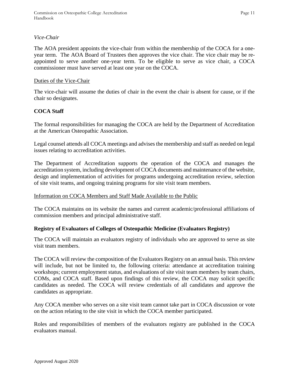#### <span id="page-10-0"></span>*Vice-Chair*

The AOA president appoints the vice-chair from within the membership of the COCA for a oneyear term. The AOA Board of Trustees then approves the vice chair. The vice chair may be reappointed to serve another one-year term. To be eligible to serve as vice chair, a COCA commissioner must have served at least one year on the COCA.

#### <span id="page-10-1"></span>Duties of the Vice-Chair

The vice-chair will assume the duties of chair in the event the chair is absent for cause, or if the chair so designates.

#### <span id="page-10-2"></span>**COCA Staff**

The formal responsibilities for managing the COCA are held by the Department of Accreditation at the American Osteopathic Association.

Legal counsel attends all COCA meetings and advises the membership and staff as needed on legal issues relating to accreditation activities.

The Department of Accreditation supports the operation of the COCA and manages the accreditation system, including development of COCA documents and maintenance of the website, design and implementation of activities for programs undergoing accreditation review, selection of site visit teams, and ongoing training programs for site visit team members.

#### <span id="page-10-3"></span>Information on COCA Members and Staff Made Available to the Public

The COCA maintains on its website the names and current academic/professional affiliations of commission members and principal administrative staff.

#### <span id="page-10-4"></span>**Registry of Evaluators of Colleges of Osteopathic Medicine (Evaluators Registry)**

The COCA will maintain an evaluators registry of individuals who are approved to serve as site visit team members.

The COCA will review the composition of the Evaluators Registry on an annual basis. This review will include, but not be limited to, the following criteria: attendance at accreditation training workshops; current employment status, and evaluations of site visit team members by team chairs, COMs, and COCA staff. Based upon findings of this review, the COCA may solicit specific candidates as needed. The COCA will review credentials of all candidates and approve the candidates as appropriate.

Any COCA member who serves on a site visit team cannot take part in COCA discussion or vote on the action relating to the site visit in which the COCA member participated.

<span id="page-10-5"></span>Roles and responsibilities of members of the evaluators registry are published in the COCA evaluators manual.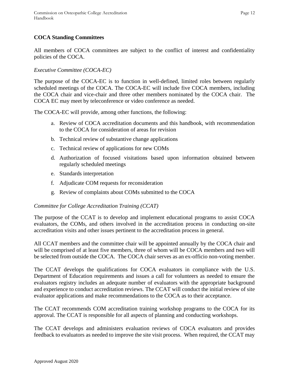#### **COCA Standing Committees**

All members of COCA committees are subject to the conflict of interest and confidentiality policies of the COCA.

#### <span id="page-11-0"></span>*Executive Committee (COCA-EC)*

The purpose of the COCA-EC is to function in well-defined, limited roles between regularly scheduled meetings of the COCA. The COCA-EC will include five COCA members, including the COCA chair and vice-chair and three other members nominated by the COCA chair. The COCA EC may meet by teleconference or video conference as needed.

The COCA-EC will provide, among other functions, the following:

- a. Review of COCA accreditation documents and this handbook, with recommendation to the COCA for consideration of areas for revision
- b. Technical review of substantive change applications
- c. Technical review of applications for new COMs
- d. Authorization of focused visitations based upon information obtained between regularly scheduled meetings
- e. Standards interpretation
- f. Adjudicate COM requests for reconsideration
- g. Review of complaints about COMs submitted to the COCA

#### <span id="page-11-1"></span>*Committee for College Accreditation Training (CCAT)*

The purpose of the CCAT is to develop and implement educational programs to assist COCA evaluators, the COMs, and others involved in the accreditation process in conducting on-site accreditation visits and other issues pertinent to the accreditation process in general.

All CCAT members and the committee chair will be appointed annually by the COCA chair and will be comprised of at least five members, three of whom will be COCA members and two will be selected from outside the COCA. The COCA chair serves as an ex-officio non-voting member.

The CCAT develops the qualifications for COCA evaluators in compliance with the U.S. Department of Education requirements and issues a call for volunteers as needed to ensure the evaluators registry includes an adequate number of evaluators with the appropriate background and experience to conduct accreditation reviews. The CCAT will conduct the initial review of site evaluator applications and make recommendations to the COCA as to their acceptance.

The CCAT recommends COM accreditation training workshop programs to the COCA for its approval. The CCAT is responsible for all aspects of planning and conducting workshops.

The CCAT develops and administers evaluation reviews of COCA evaluators and provides feedback to evaluators as needed to improve the site visit process. When required, the CCAT may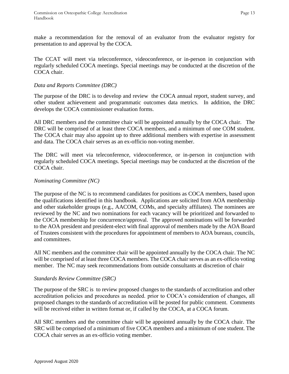make a recommendation for the removal of an evaluator from the evaluator registry for presentation to and approval by the COCA.

The CCAT will meet via teleconference, videoconference, or in-person in conjunction with regularly scheduled COCA meetings. Special meetings may be conducted at the discretion of the COCA chair.

#### <span id="page-12-0"></span>*Data and Reports Committee (DRC)*

The purpose of the DRC is to develop and review the COCA annual report, student survey, and other student achievement and programmatic outcomes data metrics. In addition, the DRC develops the COCA commissioner evaluation forms.

All DRC members and the committee chair will be appointed annually by the COCA chair. The DRC will be comprised of at least three COCA members, and a minimum of one COM student. The COCA chair may also appoint up to three additional members with expertise in assessment and data. The COCA chair serves as an ex-officio non-voting member.

The DRC will meet via teleconference, videoconference, or in-person in conjunction with regularly scheduled COCA meetings. Special meetings may be conducted at the discretion of the COCA chair.

#### <span id="page-12-1"></span>*Nominating Committee (NC)*

The purpose of the NC is to recommend candidates for positions as COCA members, based upon the qualifications identified in this handbook. Applications are solicited from AOA membership and other stakeholder groups (e.g., AACOM, COMs, and specialty affiliates). The nominees are reviewed by the NC and two nominations for each vacancy will be prioritized and forwarded to the COCA membership for concurrence/approval. The approved nominations will be forwarded to the AOA president and president-elect with final approval of members made by the AOA Board of Trustees consistent with the procedures for appointment of members to AOA bureaus, councils, and committees.

All NC members and the committee chair will be appointed annually by the COCA chair. The NC will be comprised of at least three COCA members. The COCA chair serves as an ex-officio voting member. The NC may seek recommendations from outside consultants at discretion of chair

#### <span id="page-12-2"></span>*Standards Review Committee (SRC)*

The purpose of the SRC is to review proposed changes to the standards of accreditation and other accreditation policies and procedures as needed. prior to COCA's consideration of changes, all proposed changes to the standards of accreditation will be posted for public comment. Comments will be received either in written format or, if called by the COCA, at a COCA forum.

All SRC members and the committee chair will be appointed annually by the COCA chair. The SRC will be comprised of a minimum of five COCA members and a minimum of one student. The COCA chair serves as an ex-officio voting member.